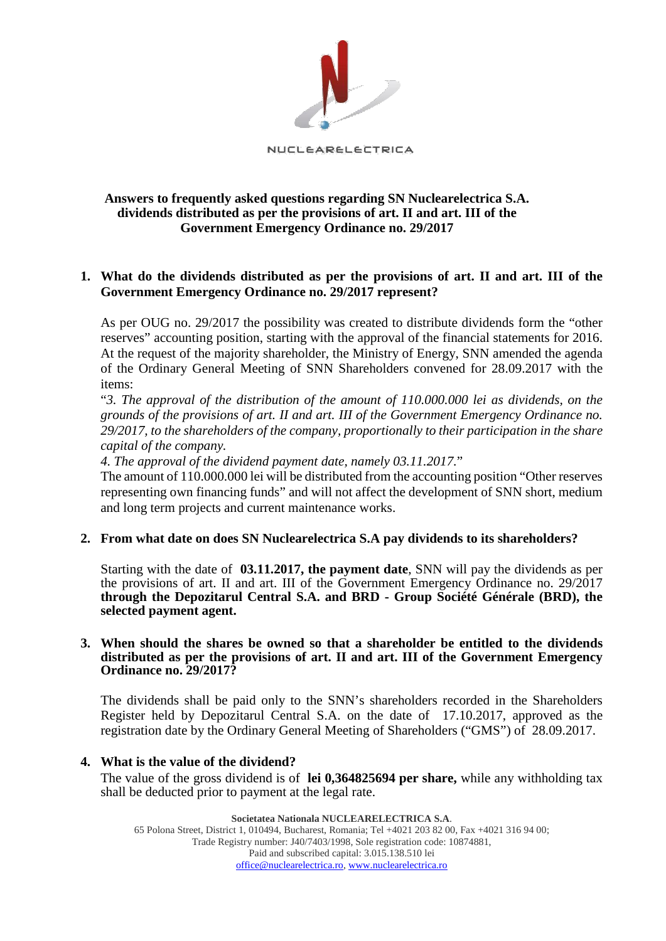

# **Answers to frequently asked questions regarding SN Nuclearelectrica S.A. dividends distributed as per the provisions of art. II and art. III of the Government Emergency Ordinance no. 29/2017**

# **1. What do the dividends distributed as per the provisions of art. II and art. III of the Government Emergency Ordinance no. 29/2017 represent?**

As per OUG no. 29/2017 the possibility was created to distribute dividends form the "other reserves" accounting position, starting with the approval of the financial statements for 2016. At the request of the majority shareholder, the Ministry of Energy, SNN amended the agenda of the Ordinary General Meeting of SNN Shareholders convened for 28.09.2017 with the items:

"*3. The approval of the distribution of the amount of 110.000.000 lei as dividends, on the grounds of the provisions of art. II and art. III of the Government Emergency Ordinance no. 29/2017, to the shareholders of the company, proportionally to their participation in the share capital of the company.*

*4. The approval of the dividend payment date, namely 03.11.2017.*"

The amount of 110.000.000 lei will be distributed from the accounting position "Other reserves representing own financing funds" and will not affect the development of SNN short, medium and long term projects and current maintenance works.

# **2. From what date on does SN Nuclearelectrica S.A pay dividends to its shareholders?**

Starting with the date of **03.11.2017, the payment date**, SNN will pay the dividends as per the provisions of art. II and art. III of the Government Emergency Ordinance no. 29/2017 **through the Depozitarul Central S.A. and BRD - Group Société Générale (BRD), the selected payment agent.** 

#### **3. When should the shares be owned so that a shareholder be entitled to the dividends distributed as per the provisions of art. II and art. III of the Government Emergency Ordinance no. 29/2017?**

The dividends shall be paid only to the SNN's shareholders recorded in the Shareholders Register held by Depozitarul Central S.A. on the date of 17.10.2017, approved as the registration date by the Ordinary General Meeting of Shareholders ("GMS") of 28.09.2017.

### **4. What is the value of the dividend?**

The value of the gross dividend is of **lei 0,364825694 per share,** while any withholding tax shall be deducted prior to payment at the legal rate.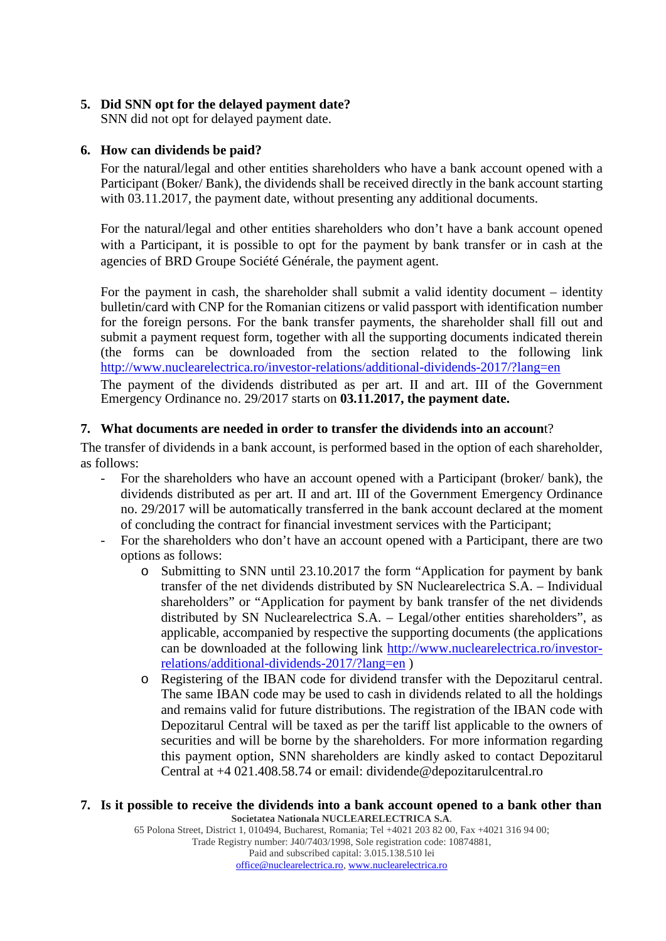# **5. Did SNN opt for the delayed payment date?**

SNN did not opt for delayed payment date.

## **6. How can dividends be paid?**

For the natural/legal and other entities shareholders who have a bank account opened with a Participant (Boker/ Bank), the dividends shall be received directly in the bank account starting with 03.11.2017, the payment date, without presenting any additional documents.

For the natural/legal and other entities shareholders who don't have a bank account opened with a Participant, it is possible to opt for the payment by bank transfer or in cash at the agencies of BRD Groupe Société Générale, the payment agent.

For the payment in cash, the shareholder shall submit a valid identity document – identity bulletin/card with CNP for the Romanian citizens or valid passport with identification number for the foreign persons. For the bank transfer payments, the shareholder shall fill out and submit a payment request form, together with all the supporting documents indicated therein (the forms can be downloaded from the section related to the following link <http://www.nuclearelectrica.ro/investor-relations/additional-dividends-2017/?lang=en>

The payment of the dividends distributed as per art. II and art. III of the Government Emergency Ordinance no. 29/2017 starts on **03.11.2017, the payment date.** 

## **7. What documents are needed in order to transfer the dividends into an accoun**t?

The transfer of dividends in a bank account, is performed based in the option of each shareholder, as follows:

- For the shareholders who have an account opened with a Participant (broker/ bank), the dividends distributed as per art. II and art. III of the Government Emergency Ordinance no. 29/2017 will be automatically transferred in the bank account declared at the moment of concluding the contract for financial investment services with the Participant;
- For the shareholders who don't have an account opened with a Participant, there are two options as follows:
	- o Submitting to SNN until 23.10.2017 the form "Application for payment by bank transfer of the net dividends distributed by SN Nuclearelectrica S.A. – Individual shareholders" or "Application for payment by bank transfer of the net dividends distributed by SN Nuclearelectrica S.A. – Legal/other entities shareholders", as applicable, accompanied by respective the supporting documents (the applications can be downloaded at the following link [http://www.nuclearelectrica.ro/investor](http://www.nuclearelectrica.ro/investor-relations/additional-dividends-2017/?lang=en)[relations/additional-dividends-2017/?lang=en](http://www.nuclearelectrica.ro/investor-relations/additional-dividends-2017/?lang=en) )
	- o Registering of the IBAN code for dividend transfer with the Depozitarul central. The same IBAN code may be used to cash in dividends related to all the holdings and remains valid for future distributions. The registration of the IBAN code with Depozitarul Central will be taxed as per the tariff list applicable to the owners of securities and will be borne by the shareholders. For more information regarding this payment option, SNN shareholders are kindly asked to contact Depozitarul Central at +4 021.408.58.74 or email: dividende@depozitarulcentral.ro

#### **Societatea Nationala NUCLEARELECTRICA S.A**. **7. Is it possible to receive the dividends into a bank account opened to a bank other than**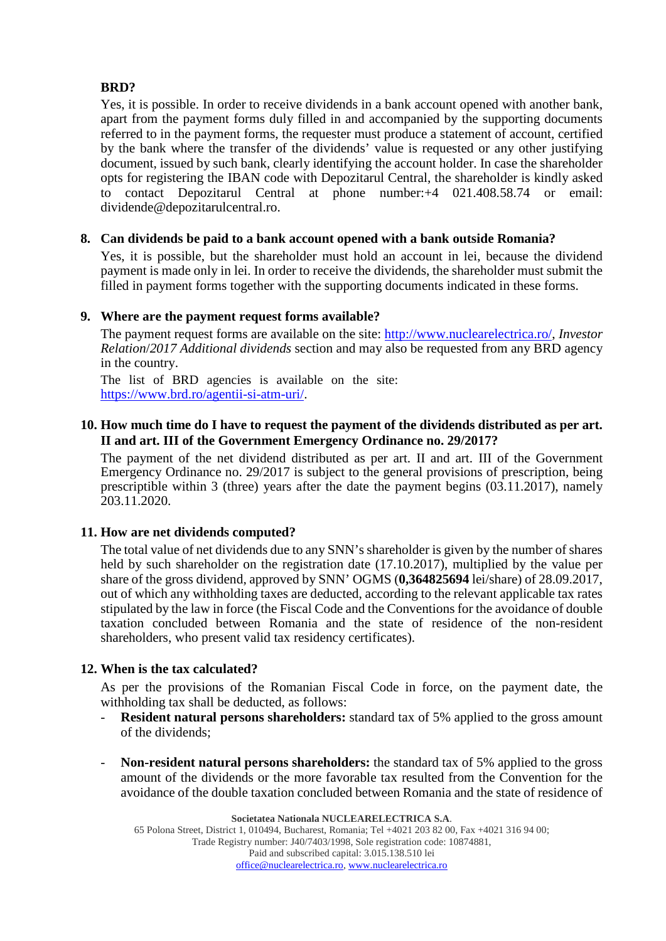# **BRD?**

Yes, it is possible. In order to receive dividends in a bank account opened with another bank, apart from the payment forms duly filled in and accompanied by the supporting documents referred to in the payment forms, the requester must produce a statement of account, certified by the bank where the transfer of the dividends' value is requested or any other justifying document, issued by such bank, clearly identifying the account holder. In case the shareholder opts for registering the IBAN code with Depozitarul Central, the shareholder is kindly asked to contact Depozitarul Central at phone number:+4 021.408.58.74 or email: dividende@depozitarulcentral.ro.

## **8. Can dividends be paid to a bank account opened with a bank outside Romania?**

Yes, it is possible, but the shareholder must hold an account in lei, because the dividend payment is made only in lei. In order to receive the dividends, the shareholder must submit the filled in payment forms together with the supporting documents indicated in these forms.

## **9. Where are the payment request forms available?**

The payment request forms are available on the site: http://www.nuclearelectrica.ro/, *Investor Relation*/*2017 Additional dividends* section and may also be requested from any BRD agency in the country.

The list of BRD agencies is available on the site: https://www.brd.ro/agentii-si-atm-uri/.

## **10. How much time do I have to request the payment of the dividends distributed as per art. II and art. III of the Government Emergency Ordinance no. 29/2017?**

The payment of the net dividend distributed as per art. II and art. III of the Government Emergency Ordinance no. 29/2017 is subject to the general provisions of prescription, being prescriptible within 3 (three) years after the date the payment begins (03.11.2017), namely 203.11.2020.

# **11. How are net dividends computed?**

The total value of net dividends due to any SNN's shareholder is given by the number of shares held by such shareholder on the registration date (17.10.2017), multiplied by the value per share of the gross dividend, approved by SNN' OGMS (**0,364825694** lei/share) of 28.09.2017, out of which any withholding taxes are deducted, according to the relevant applicable tax rates stipulated by the law in force (the Fiscal Code and the Conventions for the avoidance of double taxation concluded between Romania and the state of residence of the non-resident shareholders, who present valid tax residency certificates).

# **12. When is the tax calculated?**

As per the provisions of the Romanian Fiscal Code in force, on the payment date, the withholding tax shall be deducted, as follows:

- **Resident natural persons shareholders:** standard tax of 5% applied to the gross amount of the dividends;
- **Non-resident natural persons shareholders:** the standard tax of 5% applied to the gross amount of the dividends or the more favorable tax resulted from the Convention for the avoidance of the double taxation concluded between Romania and the state of residence of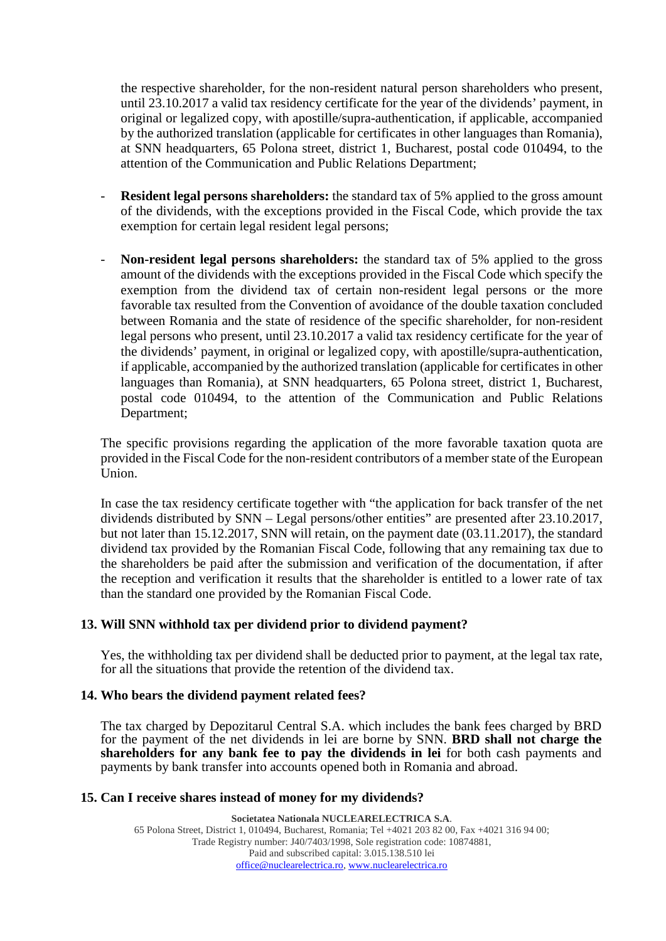the respective shareholder, for the non-resident natural person shareholders who present, until 23.10.2017 a valid tax residency certificate for the year of the dividends' payment, in original or legalized copy, with apostille/supra-authentication, if applicable, accompanied by the authorized translation (applicable for certificates in other languages than Romania), at SNN headquarters, 65 Polona street, district 1, Bucharest, postal code 010494, to the attention of the Communication and Public Relations Department;

- **Resident legal persons shareholders:** the standard tax of 5% applied to the gross amount of the dividends, with the exceptions provided in the Fiscal Code, which provide the tax exemption for certain legal resident legal persons;
- **Non-resident legal persons shareholders:** the standard tax of 5% applied to the gross amount of the dividends with the exceptions provided in the Fiscal Code which specify the exemption from the dividend tax of certain non-resident legal persons or the more favorable tax resulted from the Convention of avoidance of the double taxation concluded between Romania and the state of residence of the specific shareholder, for non-resident legal persons who present, until 23.10.2017 a valid tax residency certificate for the year of the dividends' payment, in original or legalized copy, with apostille/supra-authentication, if applicable, accompanied by the authorized translation (applicable for certificates in other languages than Romania), at SNN headquarters, 65 Polona street, district 1, Bucharest, postal code 010494, to the attention of the Communication and Public Relations Department;

The specific provisions regarding the application of the more favorable taxation quota are provided in the Fiscal Code for the non-resident contributors of a member state of the European Union.

In case the tax residency certificate together with "the application for back transfer of the net dividends distributed by SNN – Legal persons/other entities" are presented after 23.10.2017, but not later than 15.12.2017, SNN will retain, on the payment date (03.11.2017), the standard dividend tax provided by the Romanian Fiscal Code, following that any remaining tax due to the shareholders be paid after the submission and verification of the documentation, if after the reception and verification it results that the shareholder is entitled to a lower rate of tax than the standard one provided by the Romanian Fiscal Code.

### **13. Will SNN withhold tax per dividend prior to dividend payment?**

Yes, the withholding tax per dividend shall be deducted prior to payment, at the legal tax rate, for all the situations that provide the retention of the dividend tax.

#### **14. Who bears the dividend payment related fees?**

The tax charged by Depozitarul Central S.A. which includes the bank fees charged by BRD for the payment of the net dividends in lei are borne by SNN. **BRD shall not charge the shareholders for any bank fee to pay the dividends in lei** for both cash payments and payments by bank transfer into accounts opened both in Romania and abroad.

### **15. Can I receive shares instead of money for my dividends?**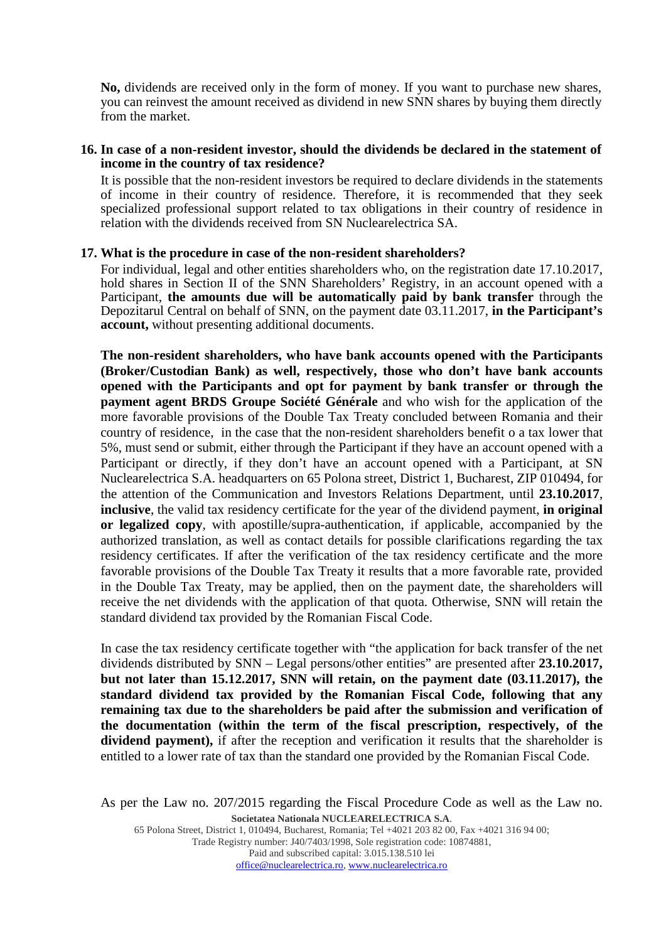**No,** dividends are received only in the form of money. If you want to purchase new shares, you can reinvest the amount received as dividend in new SNN shares by buying them directly from the market.

### **16. In case of a non-resident investor, should the dividends be declared in the statement of income in the country of tax residence?**

It is possible that the non-resident investors be required to declare dividends in the statements of income in their country of residence. Therefore, it is recommended that they seek specialized professional support related to tax obligations in their country of residence in relation with the dividends received from SN Nuclearelectrica SA.

### **17. What is the procedure in case of the non-resident shareholders?**

For individual, legal and other entities shareholders who, on the registration date 17.10.2017, hold shares in Section II of the SNN Shareholders' Registry, in an account opened with a Participant, **the amounts due will be automatically paid by bank transfer** through the Depozitarul Central on behalf of SNN, on the payment date 03.11.2017, **in the Participant's account,** without presenting additional documents.

**The non-resident shareholders, who have bank accounts opened with the Participants (Broker/Custodian Bank) as well, respectively, those who don't have bank accounts opened with the Participants and opt for payment by bank transfer or through the payment agent BRDS Groupe Société Générale** and who wish for the application of the more favorable provisions of the Double Tax Treaty concluded between Romania and their country of residence, in the case that the non-resident shareholders benefit o a tax lower that 5%, must send or submit, either through the Participant if they have an account opened with a Participant or directly, if they don't have an account opened with a Participant, at SN Nuclearelectrica S.A. headquarters on 65 Polona street, District 1, Bucharest, ZIP 010494, for the attention of the Communication and Investors Relations Department, until **23.10.2017**, **inclusive**, the valid tax residency certificate for the year of the dividend payment, **in original or legalized copy**, with apostille/supra-authentication, if applicable, accompanied by the authorized translation, as well as contact details for possible clarifications regarding the tax residency certificates. If after the verification of the tax residency certificate and the more favorable provisions of the Double Tax Treaty it results that a more favorable rate, provided in the Double Tax Treaty, may be applied, then on the payment date, the shareholders will receive the net dividends with the application of that quota. Otherwise, SNN will retain the standard dividend tax provided by the Romanian Fiscal Code.

In case the tax residency certificate together with "the application for back transfer of the net dividends distributed by SNN – Legal persons/other entities" are presented after **23.10.2017, but not later than 15.12.2017, SNN will retain, on the payment date (03.11.2017), the standard dividend tax provided by the Romanian Fiscal Code, following that any remaining tax due to the shareholders be paid after the submission and verification of the documentation (within the term of the fiscal prescription, respectively, of the dividend payment),** if after the reception and verification it results that the shareholder is entitled to a lower rate of tax than the standard one provided by the Romanian Fiscal Code.

**Societatea Nationala NUCLEARELECTRICA S.A**. As per the Law no. 207/2015 regarding the Fiscal Procedure Code as well as the Law no.

65 Polona Street, District 1, 010494, Bucharest, Romania; Tel +4021 203 82 00, Fax +4021 316 94 00;

Trade Registry number: J40/7403/1998, Sole registration code: 10874881, Paid and subscribed capital: 3.015.138.510 lei

[office@nuclearelectrica.ro,](mailto:office@nuclearelectrica.ro) [www.nuclearelectrica.ro](http://www.nuclearelectrica.ro/)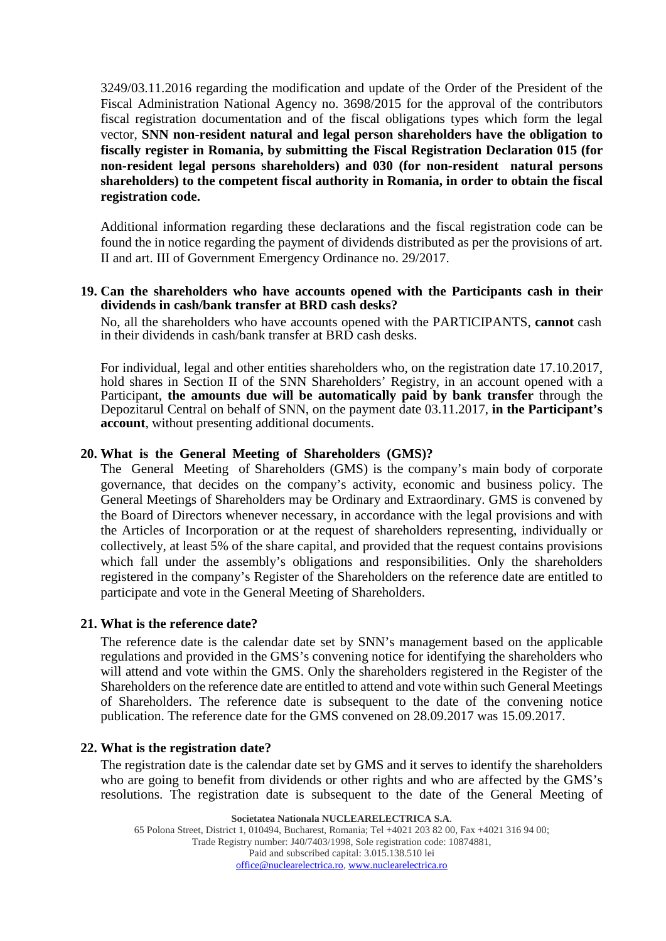3249/03.11.2016 regarding the modification and update of the Order of the President of the Fiscal Administration National Agency no. 3698/2015 for the approval of the contributors fiscal registration documentation and of the fiscal obligations types which form the legal vector, **SNN non-resident natural and legal person shareholders have the obligation to fiscally register in Romania, by submitting the Fiscal Registration Declaration 015 (for non-resident legal persons shareholders) and 030 (for non-resident natural persons shareholders) to the competent fiscal authority in Romania, in order to obtain the fiscal registration code.**

Additional information regarding these declarations and the fiscal registration code can be found the in notice regarding the payment of dividends distributed as per the provisions of art. II and art. III of Government Emergency Ordinance no. 29/2017.

### **19. Can the shareholders who have accounts opened with the Participants cash in their dividends in cash/bank transfer at BRD cash desks?**

No, all the shareholders who have accounts opened with the PARTICIPANTS, **cannot** cash in their dividends in cash/bank transfer at BRD cash desks.

For individual, legal and other entities shareholders who, on the registration date 17.10.2017, hold shares in Section II of the SNN Shareholders' Registry, in an account opened with a Participant, **the amounts due will be automatically paid by bank transfer** through the Depozitarul Central on behalf of SNN, on the payment date 03.11.2017, **in the Participant's account**, without presenting additional documents.

### **20. What is the General Meeting of Shareholders (GMS)?**

The General Meeting of Shareholders (GMS) is the company's main body of corporate governance, that decides on the company's activity, economic and business policy. The General Meetings of Shareholders may be Ordinary and Extraordinary. GMS is convened by the Board of Directors whenever necessary, in accordance with the legal provisions and with the Articles of Incorporation or at the request of shareholders representing, individually or collectively, at least 5% of the share capital, and provided that the request contains provisions which fall under the assembly's obligations and responsibilities. Only the shareholders registered in the company's Register of the Shareholders on the reference date are entitled to participate and vote in the General Meeting of Shareholders.

#### **21. What is the reference date?**

The reference date is the calendar date set by SNN's management based on the applicable regulations and provided in the GMS's convening notice for identifying the shareholders who will attend and vote within the GMS. Only the shareholders registered in the Register of the Shareholders on the reference date are entitled to attend and vote within such General Meetings of Shareholders. The reference date is subsequent to the date of the convening notice publication. The reference date for the GMS convened on 28.09.2017 was 15.09.2017.

#### **22. What is the registration date?**

The registration date is the calendar date set by GMS and it serves to identify the shareholders who are going to benefit from dividends or other rights and who are affected by the GMS's resolutions. The registration date is subsequent to the date of the General Meeting of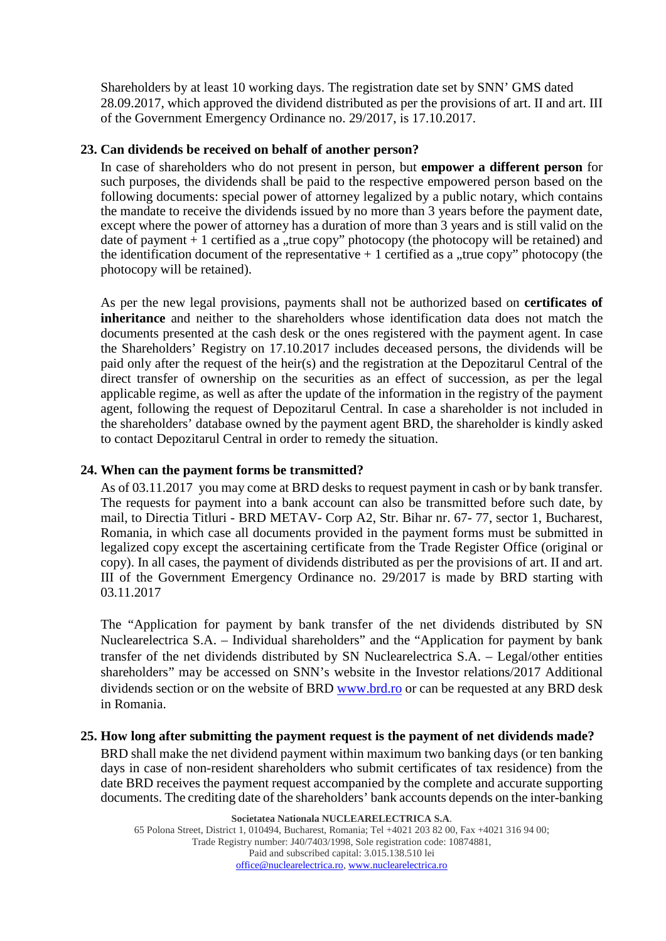Shareholders by at least 10 working days. The registration date set by SNN' GMS dated 28.09.2017, which approved the dividend distributed as per the provisions of art. II and art. III of the Government Emergency Ordinance no. 29/2017, is 17.10.2017.

## **23. Can dividends be received on behalf of another person?**

In case of shareholders who do not present in person, but **empower a different person** for such purposes, the dividends shall be paid to the respective empowered person based on the following documents: special power of attorney legalized by a public notary, which contains the mandate to receive the dividends issued by no more than 3 years before the payment date, except where the power of attorney has a duration of more than 3 years and is still valid on the date of payment  $+1$  certified as a "true copy" photocopy (the photocopy will be retained) and the identification document of the representative  $+1$  certified as a "true copy" photocopy (the photocopy will be retained).

As per the new legal provisions, payments shall not be authorized based on **certificates of inheritance** and neither to the shareholders whose identification data does not match the documents presented at the cash desk or the ones registered with the payment agent. In case the Shareholders' Registry on 17.10.2017 includes deceased persons, the dividends will be paid only after the request of the heir(s) and the registration at the Depozitarul Central of the direct transfer of ownership on the securities as an effect of succession, as per the legal applicable regime, as well as after the update of the information in the registry of the payment agent, following the request of Depozitarul Central. In case a shareholder is not included in the shareholders' database owned by the payment agent BRD, the shareholder is kindly asked to contact Depozitarul Central in order to remedy the situation.

## **24. When can the payment forms be transmitted?**

As of 03.11.2017 you may come at BRD desks to request payment in cash or by bank transfer. The requests for payment into a bank account can also be transmitted before such date, by mail, to Directia Titluri - BRD METAV- Corp A2, Str. Bihar nr. 67- 77, sector 1, Bucharest, Romania, in which case all documents provided in the payment forms must be submitted in legalized copy except the ascertaining certificate from the Trade Register Office (original or copy). In all cases, the payment of dividends distributed as per the provisions of art. II and art. III of the Government Emergency Ordinance no. 29/2017 is made by BRD starting with 03.11.2017

The "Application for payment by bank transfer of the net dividends distributed by SN Nuclearelectrica S.A. – Individual shareholders" and the "Application for payment by bank transfer of the net dividends distributed by SN Nuclearelectrica S.A. – Legal/other entities shareholders" may be accessed on SNN's website in the Investor relations/2017 Additional dividends section or on the website of BRD [www.brd.ro](http://www.brd.ro/) or can be requested at any BRD desk in Romania.

### **25. How long after submitting the payment request is the payment of net dividends made?**

BRD shall make the net dividend payment within maximum two banking days (or ten banking days in case of non-resident shareholders who submit certificates of tax residence) from the date BRD receives the payment request accompanied by the complete and accurate supporting documents. The crediting date of the shareholders' bank accounts depends on the inter-banking